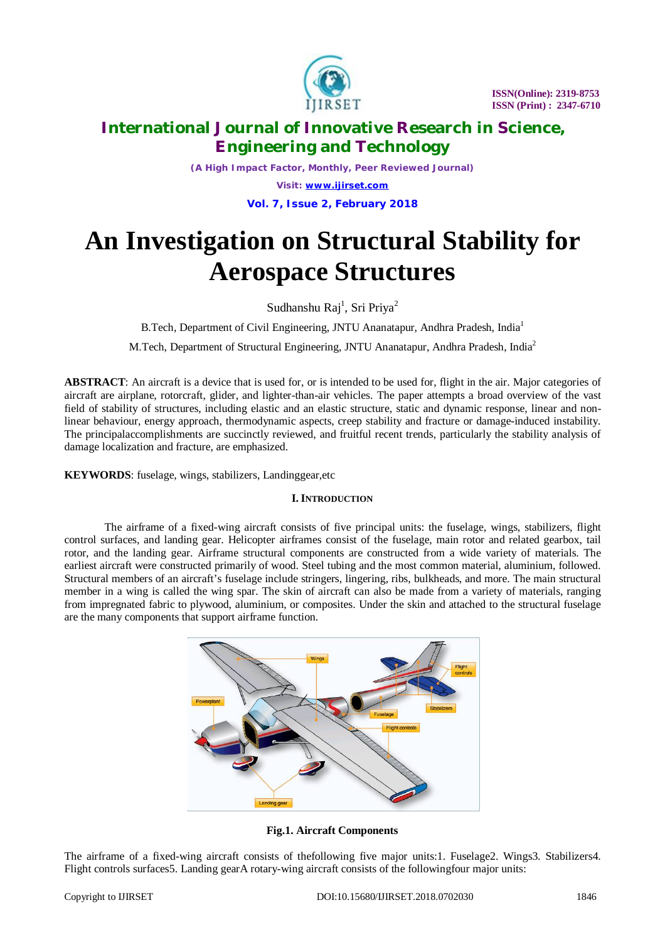

*(A High Impact Factor, Monthly, Peer Reviewed Journal) Visit: [www.ijirset.com](http://www.ijirset.com)* **Vol. 7, Issue 2, February 2018**

# **An Investigation on Structural Stability for Aerospace Structures**

Sudhanshu Raj<sup>1</sup>, Sri Priya<sup>2</sup>

B.Tech, Department of Civil Engineering, JNTU Ananatapur, Andhra Pradesh, India<sup>1</sup>

M.Tech, Department of Structural Engineering, JNTU Ananatapur, Andhra Pradesh, India<sup>2</sup>

**ABSTRACT**: An aircraft is a device that is used for, or is intended to be used for, flight in the air. Major categories of aircraft are airplane, rotorcraft, glider, and lighter-than-air vehicles. The paper attempts a broad overview of the vast field of stability of structures, including elastic and an elastic structure, static and dynamic response, linear and nonlinear behaviour, energy approach, thermodynamic aspects, creep stability and fracture or damage-induced instability. The principalaccomplishments are succinctly reviewed, and fruitful recent trends, particularly the stability analysis of damage localization and fracture, are emphasized.

**KEYWORDS**: fuselage, wings, stabilizers, Landinggear,etc

# **I. INTRODUCTION**

The airframe of a fixed-wing aircraft consists of five principal units: the fuselage, wings, stabilizers, flight control surfaces, and landing gear. Helicopter airframes consist of the fuselage, main rotor and related gearbox, tail rotor, and the landing gear. Airframe structural components are constructed from a wide variety of materials. The earliest aircraft were constructed primarily of wood. Steel tubing and the most common material, aluminium, followed. Structural members of an aircraft's fuselage include stringers, lingering, ribs, bulkheads, and more. The main structural member in a wing is called the wing spar. The skin of aircraft can also be made from a variety of materials, ranging from impregnated fabric to plywood, aluminium, or composites. Under the skin and attached to the structural fuselage are the many components that support airframe function.



**Fig.1. Aircraft Components**

The airframe of a fixed-wing aircraft consists of thefollowing five major units:1. Fuselage2. Wings3. Stabilizers4. Flight controls surfaces5. Landing gearA rotary-wing aircraft consists of the followingfour major units: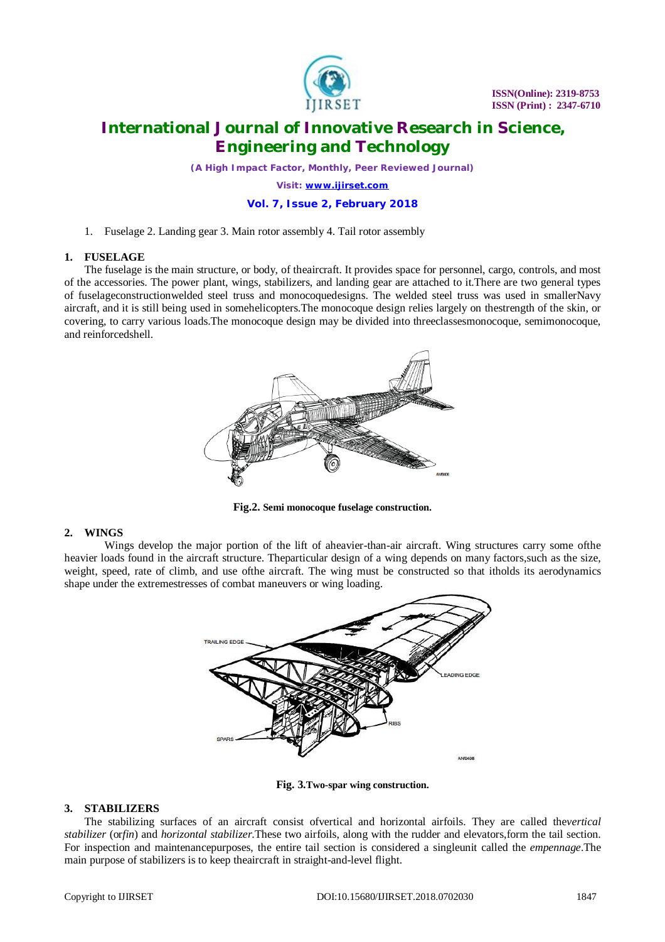

*(A High Impact Factor, Monthly, Peer Reviewed Journal)*

*Visit: [www.ijirset.com](http://www.ijirset.com)*

# **Vol. 7, Issue 2, February 2018**

1. Fuselage 2. Landing gear 3. Main rotor assembly 4. Tail rotor assembly

# **1. FUSELAGE**

The fuselage is the main structure, or body, of theaircraft. It provides space for personnel, cargo, controls, and most of the accessories. The power plant, wings, stabilizers, and landing gear are attached to it.There are two general types of fuselageconstructionwelded steel truss and monocoquedesigns. The welded steel truss was used in smallerNavy aircraft, and it is still being used in somehelicopters.The monocoque design relies largely on thestrength of the skin, or covering, to carry various loads.The monocoque design may be divided into threeclassesmonocoque, semimonocoque, and reinforcedshell.



**Fig.2. Semi monocoque fuselage construction.**

# **2. WINGS**

Wings develop the major portion of the lift of aheavier-than-air aircraft. Wing structures carry some ofthe heavier loads found in the aircraft structure. Theparticular design of a wing depends on many factors,such as the size, weight, speed, rate of climb, and use ofthe aircraft. The wing must be constructed so that itholds its aerodynamics shape under the extremestresses of combat maneuvers or wing loading.



**Fig. 3.Two-spar wing construction.**

# **3. STABILIZERS**

The stabilizing surfaces of an aircraft consist ofvertical and horizontal airfoils. They are called the*vertical stabilizer* (or*fin*) and *horizontal stabilizer*.These two airfoils, along with the rudder and elevators,form the tail section. For inspection and maintenancepurposes, the entire tail section is considered a singleunit called the *empennage*.The main purpose of stabilizers is to keep theaircraft in straight-and-level flight.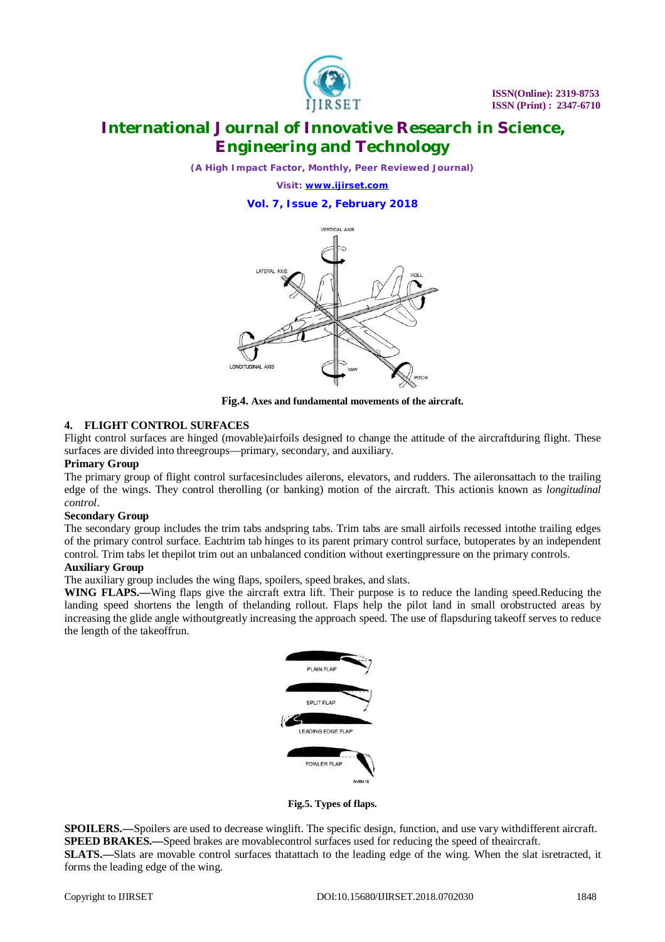

*(A High Impact Factor, Monthly, Peer Reviewed Journal)*

*Visit: [www.ijirset.com](http://www.ijirset.com)*

**Vol. 7, Issue 2, February 2018**



**Fig.4. Axes and fundamental movements of the aircraft.**

# **4. FLIGHT CONTROL SURFACES**

Flight control surfaces are hinged (movable)airfoils designed to change the attitude of the aircraftduring flight. These surfaces are divided into threegroups—primary, secondary, and auxiliary.

### **Primary Group**

The primary group of flight control surfacesincludes ailerons, elevators, and rudders. The aileronsattach to the trailing edge of the wings. They control therolling (or banking) motion of the aircraft. This actionis known as *longitudinal control*.

#### **Secondary Group**

The secondary group includes the trim tabs andspring tabs. Trim tabs are small airfoils recessed intothe trailing edges of the primary control surface. Eachtrim tab hinges to its parent primary control surface, butoperates by an independent control. Trim tabs let thepilot trim out an unbalanced condition without exertingpressure on the primary controls.

# **Auxiliary Group**

The auxiliary group includes the wing flaps, spoilers, speed brakes, and slats.

**WING FLAPS.—**Wing flaps give the aircraft extra lift. Their purpose is to reduce the landing speed.Reducing the landing speed shortens the length of thelanding rollout. Flaps help the pilot land in small orobstructed areas by increasing the glide angle withoutgreatly increasing the approach speed. The use of flapsduring takeoff serves to reduce the length of the takeoffrun.



**Fig.5. Types of flaps.**

**SPOILERS.**—Spoilers are used to decrease winglift. The specific design, function, and use vary withdifferent aircraft. **SPEED BRAKES.—Speed brakes are movablecontrol surfaces used for reducing the speed of theaircraft. SLATS.—**Slats are movable control surfaces thatattach to the leading edge of the wing. When the slat isretracted, it forms the leading edge of the wing.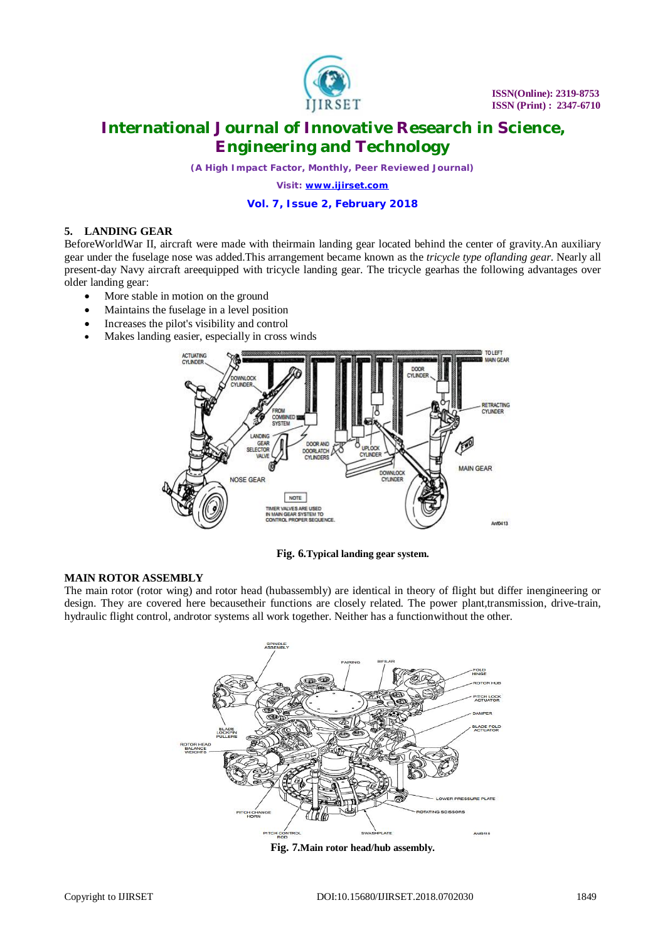

*(A High Impact Factor, Monthly, Peer Reviewed Journal)*

*Visit: [www.ijirset.com](http://www.ijirset.com)*

# **Vol. 7, Issue 2, February 2018**

# **5. LANDING GEAR**

BeforeWorldWar II, aircraft were made with theirmain landing gear located behind the center of gravity.An auxiliary gear under the fuselage nose was added.This arrangement became known as the *tricycle type oflanding gear*. Nearly all present-day Navy aircraft areequipped with tricycle landing gear. The tricycle gearhas the following advantages over older landing gear:

- More stable in motion on the ground
- Maintains the fuselage in a level position
- Increases the pilot's visibility and control
- Makes landing easier, especially in cross winds



**Fig. 6.Typical landing gear system.**

#### **MAIN ROTOR ASSEMBLY**

The main rotor (rotor wing) and rotor head (hubassembly) are identical in theory of flight but differ inengineering or design. They are covered here becausetheir functions are closely related. The power plant,transmission, drive-train, hydraulic flight control, androtor systems all work together. Neither has a functionwithout the other.



**Fig. 7.Main rotor head/hub assembly.**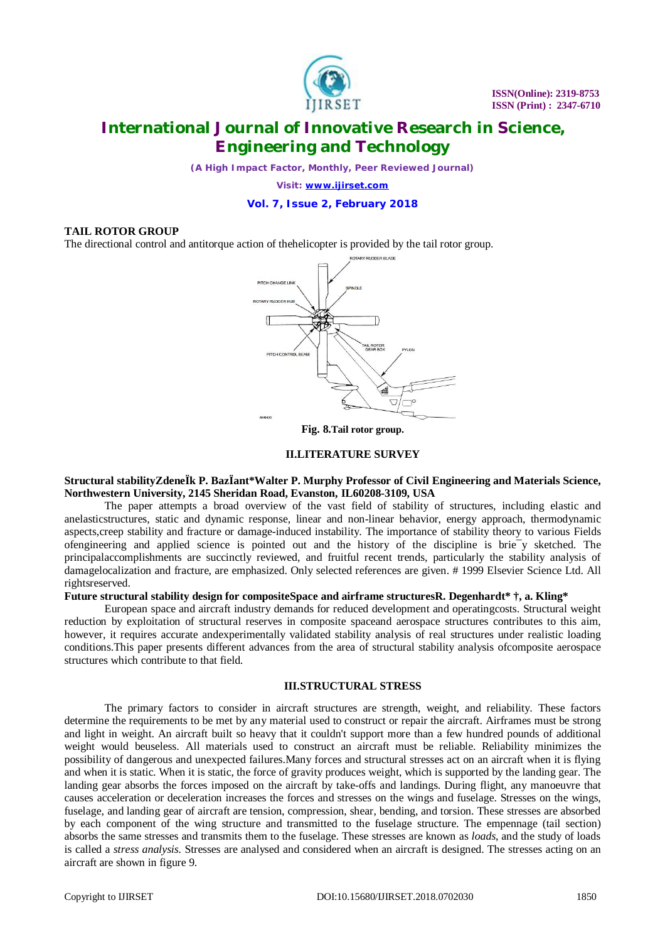

*(A High Impact Factor, Monthly, Peer Reviewed Journal)*

*Visit: [www.ijirset.com](http://www.ijirset.com)*

### **Vol. 7, Issue 2, February 2018**

#### **TAIL ROTOR GROUP**

The directional control and antitorque action of thehelicopter is provided by the tail rotor group.



#### **II.LITERATURE SURVEY**

### **Structural stabilityZdeneÏk P. BazÏant\*Walter P. Murphy Professor of Civil Engineering and Materials Science, Northwestern University, 2145 Sheridan Road, Evanston, IL60208-3109, USA**

The paper attempts a broad overview of the vast field of stability of structures, including elastic and anelasticstructures, static and dynamic response, linear and non-linear behavior, energy approach, thermodynamic aspects,creep stability and fracture or damage-induced instability. The importance of stability theory to various Fields ofengineering and applied science is pointed out and the history of the discipline is brie¯y sketched. The principalaccomplishments are succinctly reviewed, and fruitful recent trends, particularly the stability analysis of damagelocalization and fracture, are emphasized. Only selected references are given. # 1999 Elsevier Science Ltd. All rightsreserved.

### **Future structural stability design for compositeSpace and airframe structuresR. Degenhardt\* †, a. Kling\***

European space and aircraft industry demands for reduced development and operatingcosts. Structural weight reduction by exploitation of structural reserves in composite spaceand aerospace structures contributes to this aim, however, it requires accurate andexperimentally validated stability analysis of real structures under realistic loading conditions.This paper presents different advances from the area of structural stability analysis ofcomposite aerospace structures which contribute to that field.

#### **III.STRUCTURAL STRESS**

The primary factors to consider in aircraft structures are strength, weight, and reliability. These factors determine the requirements to be met by any material used to construct or repair the aircraft. Airframes must be strong and light in weight. An aircraft built so heavy that it couldn't support more than a few hundred pounds of additional weight would beuseless. All materials used to construct an aircraft must be reliable. Reliability minimizes the possibility of dangerous and unexpected failures.Many forces and structural stresses act on an aircraft when it is flying and when it is static. When it is static, the force of gravity produces weight, which is supported by the landing gear. The landing gear absorbs the forces imposed on the aircraft by take-offs and landings. During flight, any manoeuvre that causes acceleration or deceleration increases the forces and stresses on the wings and fuselage. Stresses on the wings, fuselage, and landing gear of aircraft are tension, compression, shear, bending, and torsion. These stresses are absorbed by each component of the wing structure and transmitted to the fuselage structure. The empennage (tail section) absorbs the same stresses and transmits them to the fuselage. These stresses are known as *loads*, and the study of loads is called a *stress analysis.* Stresses are analysed and considered when an aircraft is designed. The stresses acting on an aircraft are shown in figure 9.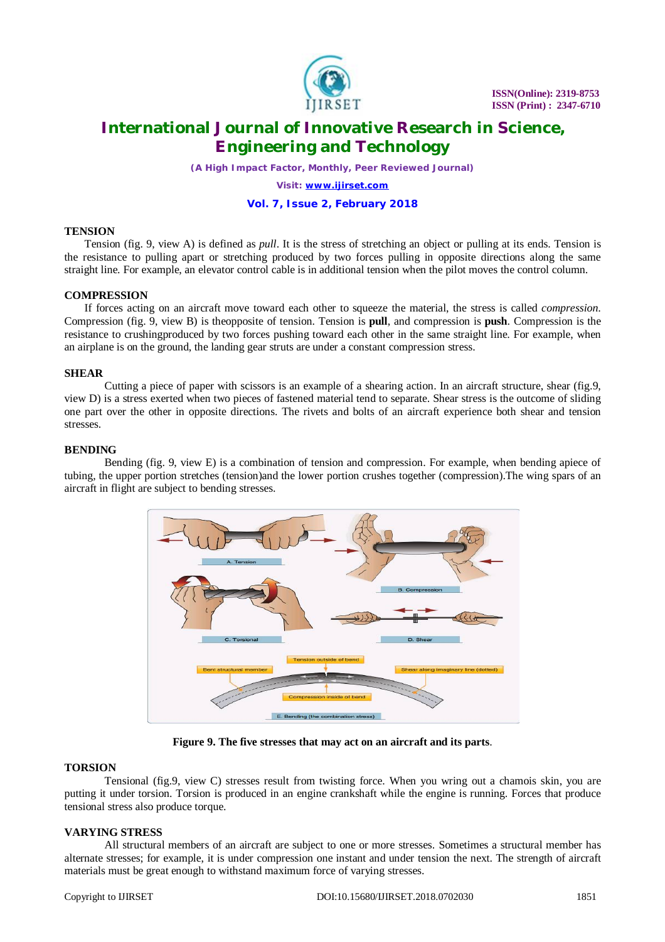

*(A High Impact Factor, Monthly, Peer Reviewed Journal)*

*Visit: [www.ijirset.com](http://www.ijirset.com)*

# **Vol. 7, Issue 2, February 2018**

### **TENSION**

Tension (fig. 9, view A) is defined as *pull*. It is the stress of stretching an object or pulling at its ends. Tension is the resistance to pulling apart or stretching produced by two forces pulling in opposite directions along the same straight line. For example, an elevator control cable is in additional tension when the pilot moves the control column.

# **COMPRESSION**

If forces acting on an aircraft move toward each other to squeeze the material, the stress is called *compression*. Compression (fig. 9, view B) is theopposite of tension. Tension is **pull**, and compression is **push**. Compression is the resistance to crushingproduced by two forces pushing toward each other in the same straight line. For example, when an airplane is on the ground, the landing gear struts are under a constant compression stress.

### **SHEAR**

Cutting a piece of paper with scissors is an example of a shearing action. In an aircraft structure, shear (fig.9, view D) is a stress exerted when two pieces of fastened material tend to separate. Shear stress is the outcome of sliding one part over the other in opposite directions. The rivets and bolts of an aircraft experience both shear and tension stresses.

### **BENDING**

Bending (fig. 9, view E) is a combination of tension and compression. For example, when bending apiece of tubing, the upper portion stretches (tension)and the lower portion crushes together (compression).The wing spars of an aircraft in flight are subject to bending stresses.



**Figure 9. The five stresses that may act on an aircraft and its parts**.

# **TORSION**

Tensional (fig.9, view C) stresses result from twisting force. When you wring out a chamois skin, you are putting it under torsion. Torsion is produced in an engine crankshaft while the engine is running. Forces that produce tensional stress also produce torque.

# **VARYING STRESS**

All structural members of an aircraft are subject to one or more stresses. Sometimes a structural member has alternate stresses; for example, it is under compression one instant and under tension the next. The strength of aircraft materials must be great enough to withstand maximum force of varying stresses.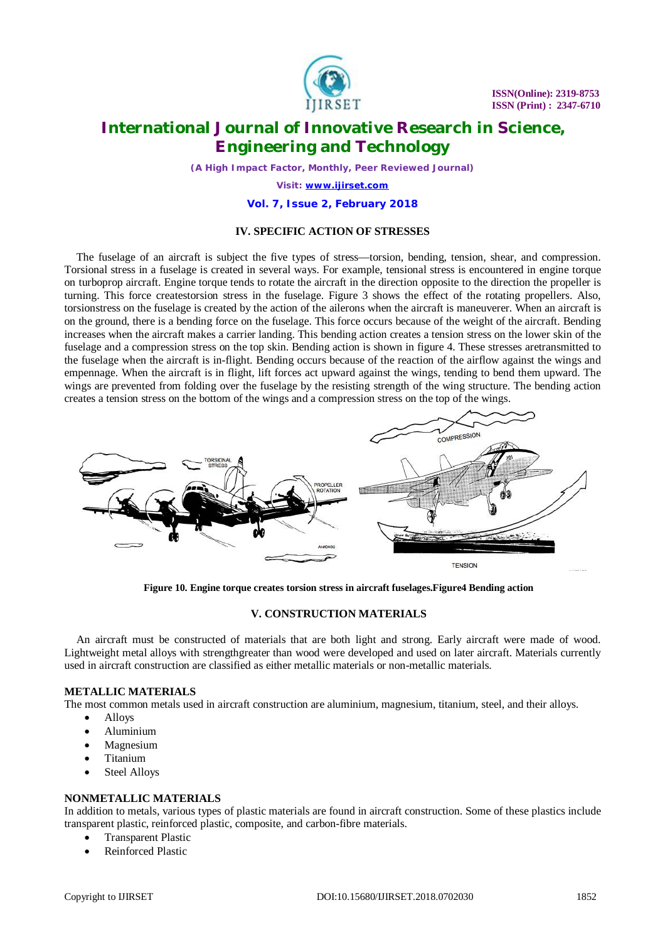

*(A High Impact Factor, Monthly, Peer Reviewed Journal)*

*Visit: [www.ijirset.com](http://www.ijirset.com)*

#### **Vol. 7, Issue 2, February 2018**

#### **IV. SPECIFIC ACTION OF STRESSES**

The fuselage of an aircraft is subject the five types of stress—torsion, bending, tension, shear, and compression. Torsional stress in a fuselage is created in several ways. For example, tensional stress is encountered in engine torque on turboprop aircraft. Engine torque tends to rotate the aircraft in the direction opposite to the direction the propeller is turning. This force createstorsion stress in the fuselage. Figure 3 shows the effect of the rotating propellers. Also, torsionstress on the fuselage is created by the action of the ailerons when the aircraft is maneuverer. When an aircraft is on the ground, there is a bending force on the fuselage. This force occurs because of the weight of the aircraft. Bending increases when the aircraft makes a carrier landing. This bending action creates a tension stress on the lower skin of the fuselage and a compression stress on the top skin. Bending action is shown in figure 4. These stresses aretransmitted to the fuselage when the aircraft is in-flight. Bending occurs because of the reaction of the airflow against the wings and empennage. When the aircraft is in flight, lift forces act upward against the wings, tending to bend them upward. The wings are prevented from folding over the fuselage by the resisting strength of the wing structure. The bending action creates a tension stress on the bottom of the wings and a compression stress on the top of the wings.



**Figure 10. Engine torque creates torsion stress in aircraft fuselages.Figure4 Bending action**

#### **V. CONSTRUCTION MATERIALS**

An aircraft must be constructed of materials that are both light and strong. Early aircraft were made of wood. Lightweight metal alloys with strengthgreater than wood were developed and used on later aircraft. Materials currently used in aircraft construction are classified as either metallic materials or non-metallic materials.

#### **METALLIC MATERIALS**

The most common metals used in aircraft construction are aluminium, magnesium, titanium, steel, and their alloys.

- Alloys
- Aluminium
- Magnesium
- Titanium
- Steel Alloys

#### **NONMETALLIC MATERIALS**

In addition to metals, various types of plastic materials are found in aircraft construction. Some of these plastics include transparent plastic, reinforced plastic, composite, and carbon-fibre materials.

- Transparent Plastic
- Reinforced Plastic